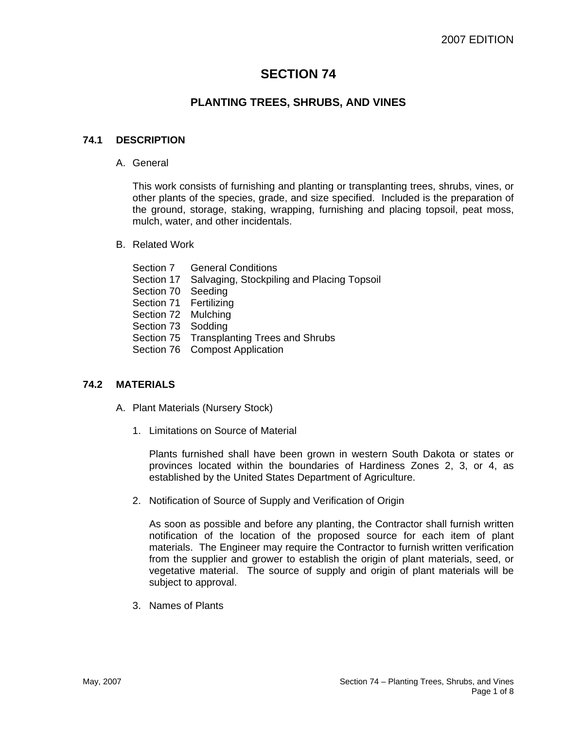# **SECTION 74**

# **PLANTING TREES, SHRUBS, AND VINES**

#### **74.1 DESCRIPTION**

A. General

This work consists of furnishing and planting or transplanting trees, shrubs, vines, or other plants of the species, grade, and size specified. Included is the preparation of the ground, storage, staking, wrapping, furnishing and placing topsoil, peat moss, mulch, water, and other incidentals.

- B. Related Work
	- Section 7 General Conditions
	- Section 17 Salvaging, Stockpiling and Placing Topsoil
	- Section 70 Seeding
	- Section 71 Fertilizing
	- Section 72 Mulching
	- Section 73 Sodding
	- Section 75 Transplanting Trees and Shrubs
	- Section 76 Compost Application

#### **74.2 MATERIALS**

- A. Plant Materials (Nursery Stock)
	- 1. Limitations on Source of Material

Plants furnished shall have been grown in western South Dakota or states or provinces located within the boundaries of Hardiness Zones 2, 3, or 4, as established by the United States Department of Agriculture.

2. Notification of Source of Supply and Verification of Origin

As soon as possible and before any planting, the Contractor shall furnish written notification of the location of the proposed source for each item of plant materials. The Engineer may require the Contractor to furnish written verification from the supplier and grower to establish the origin of plant materials, seed, or vegetative material. The source of supply and origin of plant materials will be subject to approval.

3. Names of Plants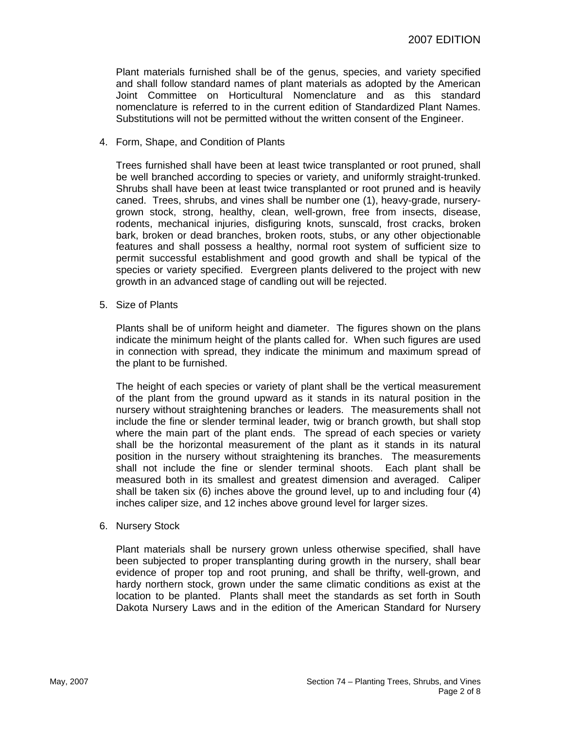Plant materials furnished shall be of the genus, species, and variety specified and shall follow standard names of plant materials as adopted by the American Joint Committee on Horticultural Nomenclature and as this standard nomenclature is referred to in the current edition of Standardized Plant Names. Substitutions will not be permitted without the written consent of the Engineer.

4. Form, Shape, and Condition of Plants

Trees furnished shall have been at least twice transplanted or root pruned, shall be well branched according to species or variety, and uniformly straight-trunked. Shrubs shall have been at least twice transplanted or root pruned and is heavily caned. Trees, shrubs, and vines shall be number one (1), heavy-grade, nurserygrown stock, strong, healthy, clean, well-grown, free from insects, disease, rodents, mechanical injuries, disfiguring knots, sunscald, frost cracks, broken bark, broken or dead branches, broken roots, stubs, or any other objectionable features and shall possess a healthy, normal root system of sufficient size to permit successful establishment and good growth and shall be typical of the species or variety specified. Evergreen plants delivered to the project with new growth in an advanced stage of candling out will be rejected.

5. Size of Plants

Plants shall be of uniform height and diameter. The figures shown on the plans indicate the minimum height of the plants called for. When such figures are used in connection with spread, they indicate the minimum and maximum spread of the plant to be furnished.

The height of each species or variety of plant shall be the vertical measurement of the plant from the ground upward as it stands in its natural position in the nursery without straightening branches or leaders. The measurements shall not include the fine or slender terminal leader, twig or branch growth, but shall stop where the main part of the plant ends. The spread of each species or variety shall be the horizontal measurement of the plant as it stands in its natural position in the nursery without straightening its branches. The measurements shall not include the fine or slender terminal shoots. Each plant shall be measured both in its smallest and greatest dimension and averaged. Caliper shall be taken six (6) inches above the ground level, up to and including four (4) inches caliper size, and 12 inches above ground level for larger sizes.

6. Nursery Stock

Plant materials shall be nursery grown unless otherwise specified, shall have been subjected to proper transplanting during growth in the nursery, shall bear evidence of proper top and root pruning, and shall be thrifty, well-grown, and hardy northern stock, grown under the same climatic conditions as exist at the location to be planted. Plants shall meet the standards as set forth in South Dakota Nursery Laws and in the edition of the American Standard for Nursery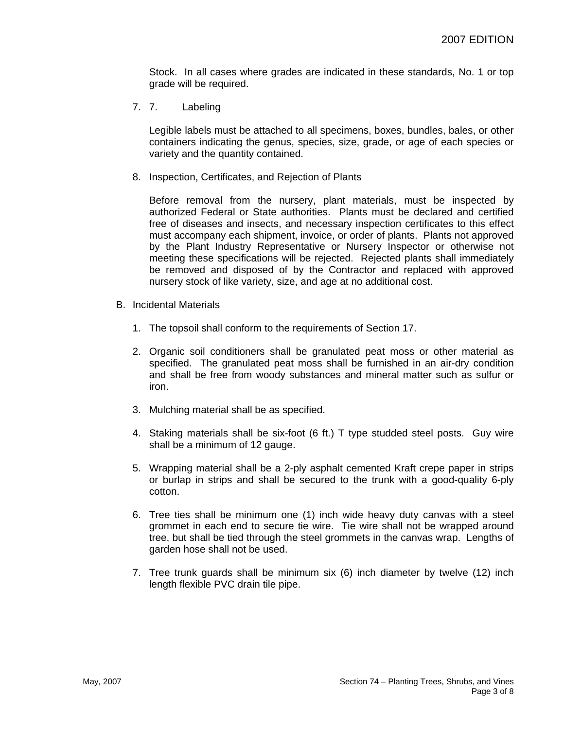Stock. In all cases where grades are indicated in these standards, No. 1 or top grade will be required.

7. 7. Labeling

Legible labels must be attached to all specimens, boxes, bundles, bales, or other containers indicating the genus, species, size, grade, or age of each species or variety and the quantity contained.

8. Inspection, Certificates, and Rejection of Plants

Before removal from the nursery, plant materials, must be inspected by authorized Federal or State authorities. Plants must be declared and certified free of diseases and insects, and necessary inspection certificates to this effect must accompany each shipment, invoice, or order of plants. Plants not approved by the Plant Industry Representative or Nursery Inspector or otherwise not meeting these specifications will be rejected. Rejected plants shall immediately be removed and disposed of by the Contractor and replaced with approved nursery stock of like variety, size, and age at no additional cost.

- B. Incidental Materials
	- 1. The topsoil shall conform to the requirements of Section 17.
	- 2. Organic soil conditioners shall be granulated peat moss or other material as specified. The granulated peat moss shall be furnished in an air-dry condition and shall be free from woody substances and mineral matter such as sulfur or iron.
	- 3. Mulching material shall be as specified.
	- 4. Staking materials shall be six-foot (6 ft.) T type studded steel posts. Guy wire shall be a minimum of 12 gauge.
	- 5. Wrapping material shall be a 2-ply asphalt cemented Kraft crepe paper in strips or burlap in strips and shall be secured to the trunk with a good-quality 6-ply cotton.
	- 6. Tree ties shall be minimum one (1) inch wide heavy duty canvas with a steel grommet in each end to secure tie wire. Tie wire shall not be wrapped around tree, but shall be tied through the steel grommets in the canvas wrap. Lengths of garden hose shall not be used.
	- 7. Tree trunk guards shall be minimum six (6) inch diameter by twelve (12) inch length flexible PVC drain tile pipe.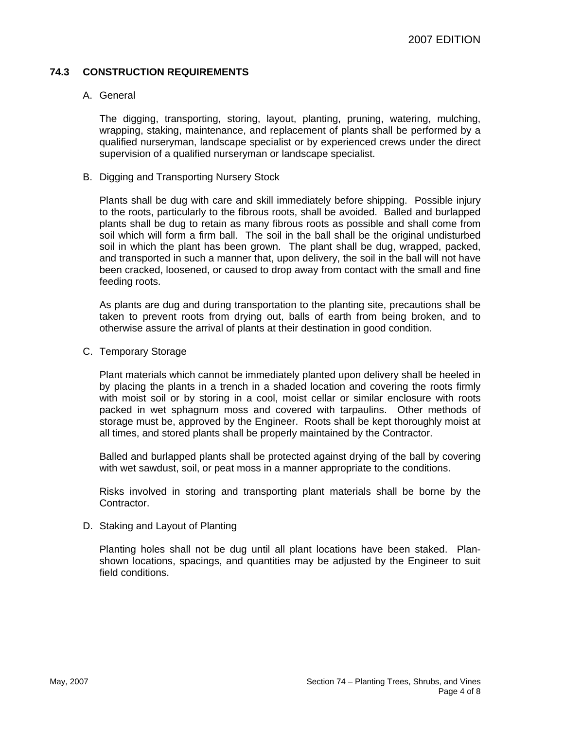#### **74.3 CONSTRUCTION REQUIREMENTS**

#### A. General

The digging, transporting, storing, layout, planting, pruning, watering, mulching, wrapping, staking, maintenance, and replacement of plants shall be performed by a qualified nurseryman, landscape specialist or by experienced crews under the direct supervision of a qualified nurseryman or landscape specialist.

B. Digging and Transporting Nursery Stock

Plants shall be dug with care and skill immediately before shipping. Possible injury to the roots, particularly to the fibrous roots, shall be avoided. Balled and burlapped plants shall be dug to retain as many fibrous roots as possible and shall come from soil which will form a firm ball. The soil in the ball shall be the original undisturbed soil in which the plant has been grown. The plant shall be dug, wrapped, packed, and transported in such a manner that, upon delivery, the soil in the ball will not have been cracked, loosened, or caused to drop away from contact with the small and fine feeding roots.

As plants are dug and during transportation to the planting site, precautions shall be taken to prevent roots from drying out, balls of earth from being broken, and to otherwise assure the arrival of plants at their destination in good condition.

C. Temporary Storage

Plant materials which cannot be immediately planted upon delivery shall be heeled in by placing the plants in a trench in a shaded location and covering the roots firmly with moist soil or by storing in a cool, moist cellar or similar enclosure with roots packed in wet sphagnum moss and covered with tarpaulins. Other methods of storage must be, approved by the Engineer. Roots shall be kept thoroughly moist at all times, and stored plants shall be properly maintained by the Contractor.

Balled and burlapped plants shall be protected against drying of the ball by covering with wet sawdust, soil, or peat moss in a manner appropriate to the conditions.

Risks involved in storing and transporting plant materials shall be borne by the Contractor.

D. Staking and Layout of Planting

Planting holes shall not be dug until all plant locations have been staked. Planshown locations, spacings, and quantities may be adjusted by the Engineer to suit field conditions.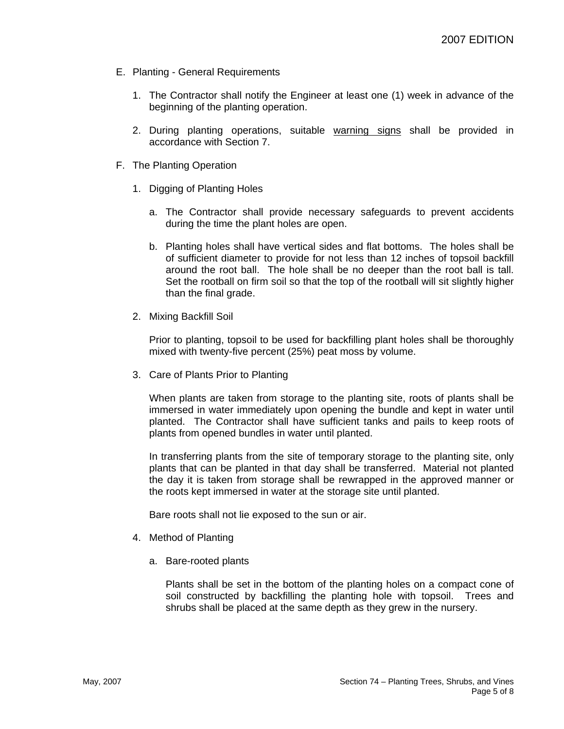- E. Planting General Requirements
	- 1. The Contractor shall notify the Engineer at least one (1) week in advance of the beginning of the planting operation.
	- 2. During planting operations, suitable warning signs shall be provided in accordance with Section 7.
- F. The Planting Operation
	- 1. Digging of Planting Holes
		- a. The Contractor shall provide necessary safeguards to prevent accidents during the time the plant holes are open.
		- b. Planting holes shall have vertical sides and flat bottoms. The holes shall be of sufficient diameter to provide for not less than 12 inches of topsoil backfill around the root ball. The hole shall be no deeper than the root ball is tall. Set the rootball on firm soil so that the top of the rootball will sit slightly higher than the final grade.
	- 2. Mixing Backfill Soil

Prior to planting, topsoil to be used for backfilling plant holes shall be thoroughly mixed with twenty-five percent (25%) peat moss by volume.

3. Care of Plants Prior to Planting

When plants are taken from storage to the planting site, roots of plants shall be immersed in water immediately upon opening the bundle and kept in water until planted. The Contractor shall have sufficient tanks and pails to keep roots of plants from opened bundles in water until planted.

In transferring plants from the site of temporary storage to the planting site, only plants that can be planted in that day shall be transferred. Material not planted the day it is taken from storage shall be rewrapped in the approved manner or the roots kept immersed in water at the storage site until planted.

Bare roots shall not lie exposed to the sun or air.

- 4. Method of Planting
	- a. Bare-rooted plants

Plants shall be set in the bottom of the planting holes on a compact cone of soil constructed by backfilling the planting hole with topsoil. Trees and shrubs shall be placed at the same depth as they grew in the nursery.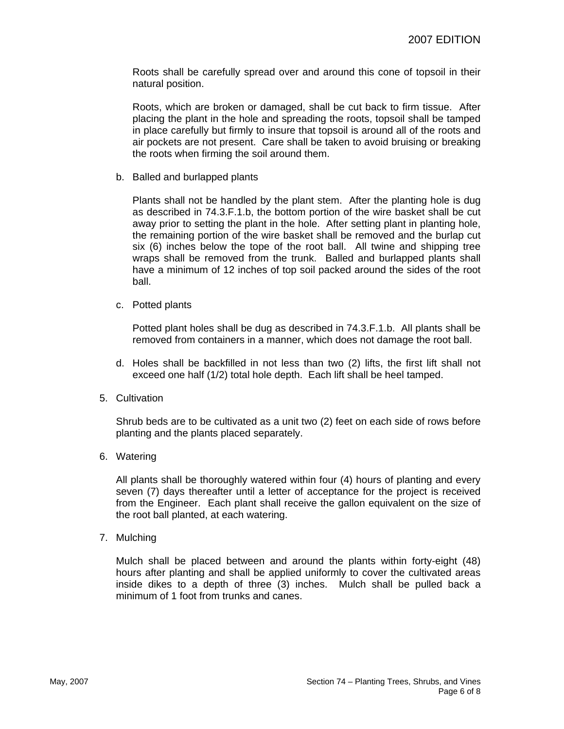Roots shall be carefully spread over and around this cone of topsoil in their natural position.

Roots, which are broken or damaged, shall be cut back to firm tissue. After placing the plant in the hole and spreading the roots, topsoil shall be tamped in place carefully but firmly to insure that topsoil is around all of the roots and air pockets are not present. Care shall be taken to avoid bruising or breaking the roots when firming the soil around them.

b. Balled and burlapped plants

Plants shall not be handled by the plant stem. After the planting hole is dug as described in 74.3.F.1.b, the bottom portion of the wire basket shall be cut away prior to setting the plant in the hole. After setting plant in planting hole, the remaining portion of the wire basket shall be removed and the burlap cut six (6) inches below the tope of the root ball. All twine and shipping tree wraps shall be removed from the trunk. Balled and burlapped plants shall have a minimum of 12 inches of top soil packed around the sides of the root ball.

c. Potted plants

Potted plant holes shall be dug as described in 74.3.F.1.b. All plants shall be removed from containers in a manner, which does not damage the root ball.

- d. Holes shall be backfilled in not less than two (2) lifts, the first lift shall not exceed one half (1/2) total hole depth. Each lift shall be heel tamped.
- 5. Cultivation

Shrub beds are to be cultivated as a unit two (2) feet on each side of rows before planting and the plants placed separately.

6. Watering

All plants shall be thoroughly watered within four (4) hours of planting and every seven (7) days thereafter until a letter of acceptance for the project is received from the Engineer. Each plant shall receive the gallon equivalent on the size of the root ball planted, at each watering.

7. Mulching

Mulch shall be placed between and around the plants within forty-eight (48) hours after planting and shall be applied uniformly to cover the cultivated areas inside dikes to a depth of three (3) inches. Mulch shall be pulled back a minimum of 1 foot from trunks and canes.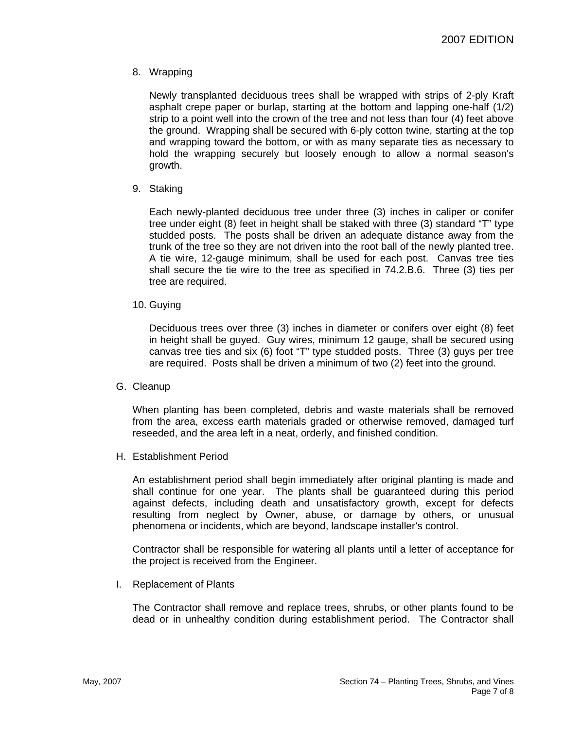8. Wrapping

Newly transplanted deciduous trees shall be wrapped with strips of 2-ply Kraft asphalt crepe paper or burlap, starting at the bottom and lapping one-half (1/2) strip to a point well into the crown of the tree and not less than four (4) feet above the ground. Wrapping shall be secured with 6-ply cotton twine, starting at the top and wrapping toward the bottom, or with as many separate ties as necessary to hold the wrapping securely but loosely enough to allow a normal season's growth.

9. Staking

Each newly-planted deciduous tree under three (3) inches in caliper or conifer tree under eight (8) feet in height shall be staked with three (3) standard "T" type studded posts. The posts shall be driven an adequate distance away from the trunk of the tree so they are not driven into the root ball of the newly planted tree. A tie wire, 12-gauge minimum, shall be used for each post. Canvas tree ties shall secure the tie wire to the tree as specified in 74.2.B.6. Three (3) ties per tree are required.

10. Guying

Deciduous trees over three (3) inches in diameter or conifers over eight (8) feet in height shall be guyed. Guy wires, minimum 12 gauge, shall be secured using canvas tree ties and six (6) foot "T" type studded posts. Three (3) guys per tree are required. Posts shall be driven a minimum of two (2) feet into the ground.

G. Cleanup

When planting has been completed, debris and waste materials shall be removed from the area, excess earth materials graded or otherwise removed, damaged turf reseeded, and the area left in a neat, orderly, and finished condition.

H. Establishment Period

An establishment period shall begin immediately after original planting is made and shall continue for one year. The plants shall be guaranteed during this period against defects, including death and unsatisfactory growth, except for defects resulting from neglect by Owner, abuse, or damage by others, or unusual phenomena or incidents, which are beyond, landscape installer's control.

Contractor shall be responsible for watering all plants until a letter of acceptance for the project is received from the Engineer.

I. Replacement of Plants

The Contractor shall remove and replace trees, shrubs, or other plants found to be dead or in unhealthy condition during establishment period. The Contractor shall